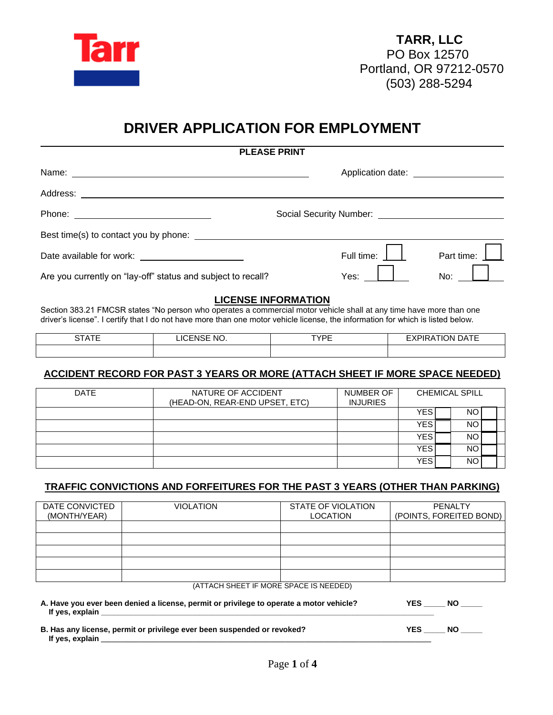

# **DRIVER APPLICATION FOR EMPLOYMENT**

| <b>PLEASE PRINT</b>                                                                                                                                                                                                            |                                                 |                                     |  |
|--------------------------------------------------------------------------------------------------------------------------------------------------------------------------------------------------------------------------------|-------------------------------------------------|-------------------------------------|--|
|                                                                                                                                                                                                                                |                                                 | Application date: Application date: |  |
|                                                                                                                                                                                                                                |                                                 |                                     |  |
|                                                                                                                                                                                                                                | Social Security Number: Social Security Number: |                                     |  |
| Best time(s) to contact you by phone: Solution of the state of the state of the state of the state of the state of the state of the state of the state of the state of the state of the state of the state of the state of the |                                                 |                                     |  |
|                                                                                                                                                                                                                                | Full time:                                      | Part time:                          |  |
| Are you currently on "lay-off" status and subject to recall?                                                                                                                                                                   | Yes:                                            | No:                                 |  |

## **LICENSE INFORMATION**

Section 383.21 FMCSR states "No person who operates a commercial motor vehicle shall at any time have more than one driver's license". I certify that I do not have more than one motor vehicle license, the information for which is listed below.

| $\sim$ $  -$<br>$\ddot{\phantom{1}}$<br>$\mathbf{v}$<br>10<br>w<br>. .<br>$\cup$<br>. . |  | TVDE<br>_ | $\sim$ $ -$<br>эN<br>$\mathbf{v}$<br>$\sqrt{ }$<br>`' ∼ |  |
|-----------------------------------------------------------------------------------------|--|-----------|---------------------------------------------------------|--|
|                                                                                         |  |           |                                                         |  |

## **ACCIDENT RECORD FOR PAST 3 YEARS OR MORE (ATTACH SHEET IF MORE SPACE NEEDED)**

| <b>DATE</b> | NATURE OF ACCIDENT<br>(HEAD-ON, REAR-END UPSET, ETC) | NUMBER OF<br><b>INJURIES</b> | <b>CHEMICAL SPILL</b> |  |     |  |
|-------------|------------------------------------------------------|------------------------------|-----------------------|--|-----|--|
|             |                                                      |                              | YES                   |  | NO. |  |
|             |                                                      |                              | YES                   |  | ΝO  |  |
|             |                                                      |                              | YES                   |  | NO. |  |
|             |                                                      |                              | <b>YES</b>            |  | NO. |  |
|             |                                                      |                              | <b>YES</b>            |  | NO  |  |

## **TRAFFIC CONVICTIONS AND FORFEITURES FOR THE PAST 3 YEARS (OTHER THAN PARKING)**

| DATE CONVICTED | <b>VIOLATION</b> | STATE OF VIOLATION | PENALTY                 |
|----------------|------------------|--------------------|-------------------------|
|                |                  |                    |                         |
| (MONTH/YEAR)   |                  | <b>LOCATION</b>    | (POINTS, FOREITED BOND) |
|                |                  |                    |                         |
|                |                  |                    |                         |
|                |                  |                    |                         |
|                |                  |                    |                         |
|                |                  |                    |                         |
|                |                  |                    |                         |
|                |                  |                    |                         |
|                |                  |                    |                         |
|                | $(1 - 1 - 1)$    |                    |                         |

#### (ATTACH SHEET IF MORE SPACE IS NEEDED)

| A. Have you ever been denied a license, permit or privilege to operate a motor vehicle?<br>If yes, explain | YES | <b>NO</b> |
|------------------------------------------------------------------------------------------------------------|-----|-----------|
| B. Has any license, permit or privilege ever been suspended or revoked?<br>If yes, explain                 | YES | NO.       |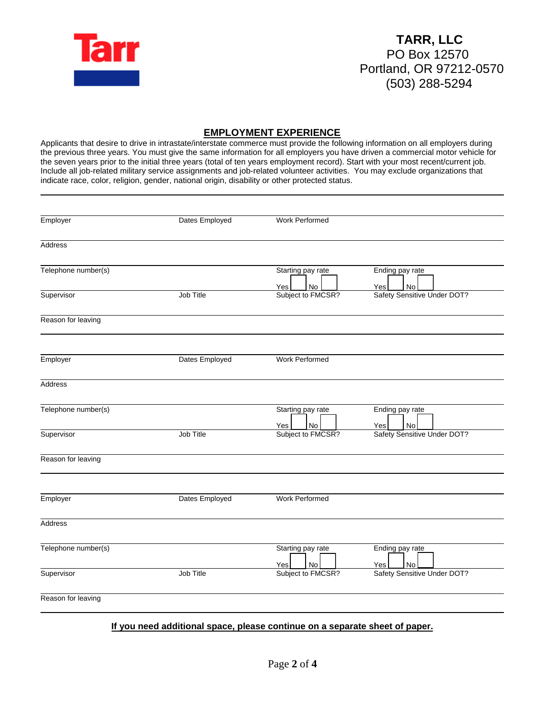

### **EMPLOYMENT EXPERIENCE**

Applicants that desire to drive in intrastate/interstate commerce must provide the following information on all employers during the previous three years. You must give the same information for all employers you have driven a commercial motor vehicle for the seven years prior to the initial three years (total of ten years employment record). Start with your most recent/current job. Include all job-related military service assignments and job-related volunteer activities. You may exclude organizations that indicate race, color, religion, gender, national origin, disability or other protected status.

|                | Starting pay rate     | Ending pay rate<br>No<br>Yes                                 |
|----------------|-----------------------|--------------------------------------------------------------|
| Job Title      | Subject to FMCSR?     | Safety Sensitive Under DOT?                                  |
|                |                       |                                                              |
| Dates Employed | Work Performed        |                                                              |
|                |                       |                                                              |
|                | Starting pay rate     | Ending pay rate<br>No<br>Yes                                 |
| Job Title      | Subject to FMCSR?     | Safety Sensitive Under DOT?                                  |
|                |                       |                                                              |
| Dates Employed | <b>Work Performed</b> |                                                              |
|                |                       |                                                              |
|                | Starting pay rate     | Ending pay rate<br><b>No</b><br>Yes                          |
| Job Title      | Subject to FMCSR?     | Safety Sensitive Under DOT?                                  |
|                |                       |                                                              |
|                | Dates Employed        | <b>Work Performed</b><br>Yes<br>No<br>No<br>Yes<br>No<br>Yes |

#### **If you need additional space, please continue on a separate sheet of paper.**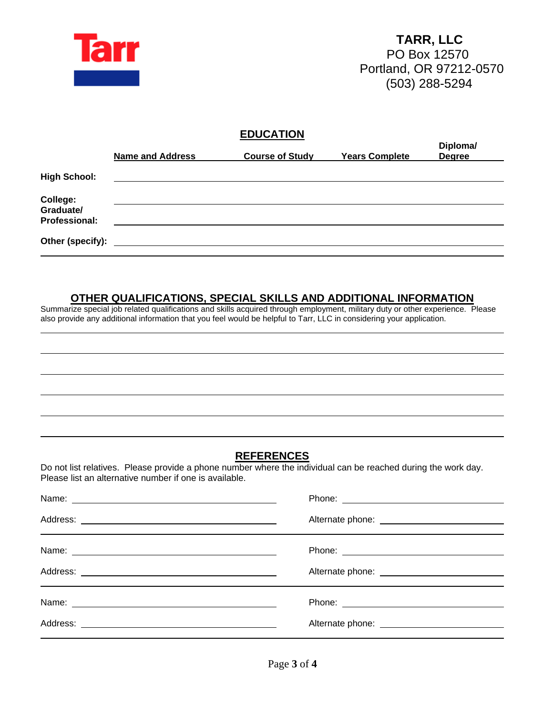

## **EDUCATION**

|                                               | <b>Name and Address</b> | <b>Course of Study</b> | <b>Years Complete</b> | Diploma/<br><b>Degree</b> |
|-----------------------------------------------|-------------------------|------------------------|-----------------------|---------------------------|
| <b>High School:</b>                           |                         |                        |                       |                           |
| College:<br>Graduate/<br><b>Professional:</b> |                         |                        |                       |                           |
| Other (specify):                              |                         |                        |                       |                           |

## **OTHER QUALIFICATIONS, SPECIAL SKILLS AND ADDITIONAL INFORMATION**

Summarize special job related qualifications and skills acquired through employment, military duty or other experience. Please also provide any additional information that you feel would be helpful to Tarr, LLC in considering your application.

## **REFERENCES**

Do not list relatives. Please provide a phone number where the individual can be reached during the work day. Please list an alternative number if one is available.

| Name: Name: Name: Name: Name: Name: Name: Name: Name: Name: Name: Name: Name: Name: Name: Name: Name: Name: Name: Name: Name: Name: Name: Name: Name: Name: Name: Name: Name: Name: Name: Name: Name: Name: Name: Name: Name: |  |
|-------------------------------------------------------------------------------------------------------------------------------------------------------------------------------------------------------------------------------|--|
|                                                                                                                                                                                                                               |  |
| Name:                                                                                                                                                                                                                         |  |
|                                                                                                                                                                                                                               |  |
| Name: 2008 - 2008 - 2008 - 2008 - 2008 - 2008 - 2010 - 2010 - 2010 - 2010 - 2010 - 2010 - 2010 - 2010 - 2010 -                                                                                                                |  |
|                                                                                                                                                                                                                               |  |